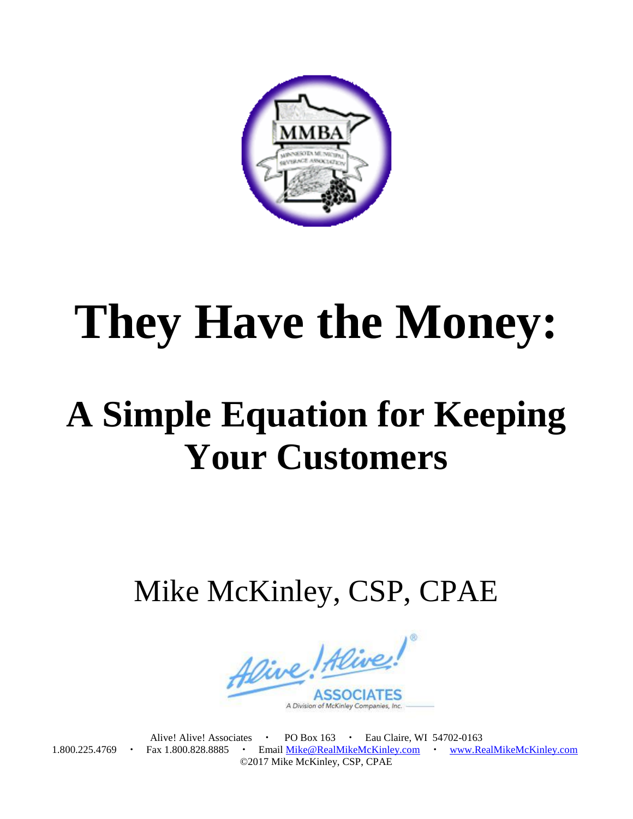

## **They Have the Money:**

## **A Simple Equation for Keeping Your Customers**

Mike McKinley, CSP, CPAE

Alive! Alive! **ASSOCI** A Division of McKinley Companies,

Alive! Alive! Associates • PO Box 163 • Eau Claire, WI 54702-0163 1.800.225.4769 · Fax 1.800.828.8885 · Email [Mike@RealMikeMcKinley.com](mailto:Mike@RealMikeMcKinley.com) · [www.RealMikeMcKinley.com](http://www.realmikemckinley.com/) ©2017 Mike McKinley, CSP, CPAE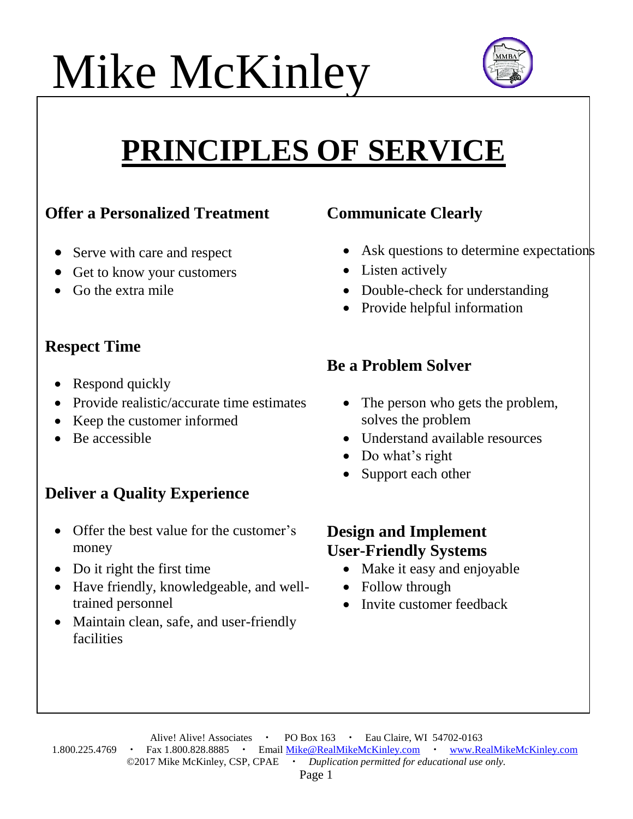# Mike McKinley



### **PRINCIPLES OF SERVICE**

#### **Offer a Personalized Treatment Communicate Clearly**

- 
- Get to know your customers Listen actively
- 

#### **Respect Time**

- Respond quickly
- Provide realistic/accurate time estimates
- Keep the customer informed
- 

#### **Deliver a Quality Experience**

- Offer the best value for the customer's money
- Do it right the first time
- Have friendly, knowledgeable, and welltrained personnel
- Maintain clean, safe, and user-friendly facilities

- Serve with care and respect Ask questions to determine expectations
	-
- Go the extra mile **Double-check** for understanding **•** Double-check for understanding
	- Provide helpful information

#### **Be a Problem Solver**

- The person who gets the problem, solves the problem
- Be accessible **Be accessible Understand available resources** 
	- Do what's right
	- Support each other

#### **Design and Implement User-Friendly Systems**

- Make it easy and enjoyable
- Follow through
- Invite customer feedback

Alive! Alive! Associates • PO Box 163 • Eau Claire, WI 54702-0163 1.800.225.4769 · Fax 1.800.828.8885 · Email [Mike@RealMikeMcKinley.com](mailto:Mike@RealMikeMcKinley.com) · [www.RealMikeMcKinley.com](http://www.realmikemckinley.com/) ©2017 Mike McKinley, CSP, CPAE *Duplication permitted for educational use only.*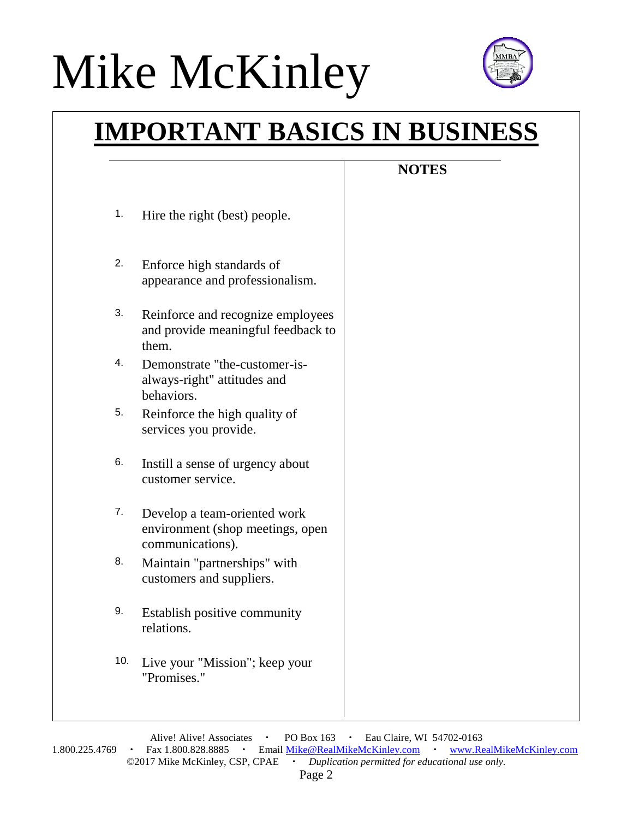## Mike McKinley



### **IMPORTANT BASICS IN BUSINESS**

### **NOTES**

- 1. Hire the right (best) people.
- 2. Enforce high standards of appearance and professionalism.
- 3. Reinforce and recognize employees and provide meaningful feedback to them.
- 4. Demonstrate "the-customer-isalways-right" attitudes and behaviors.
- 5. Reinforce the high quality of services you provide.
- 6. Instill a sense of urgency about customer service.
- 7. Develop a team-oriented work environment (shop meetings, open communications).
- 8. Maintain "partnerships" with customers and suppliers.
- 9. Establish positive community relations.
- 10. Live your "Mission"; keep your "Promises."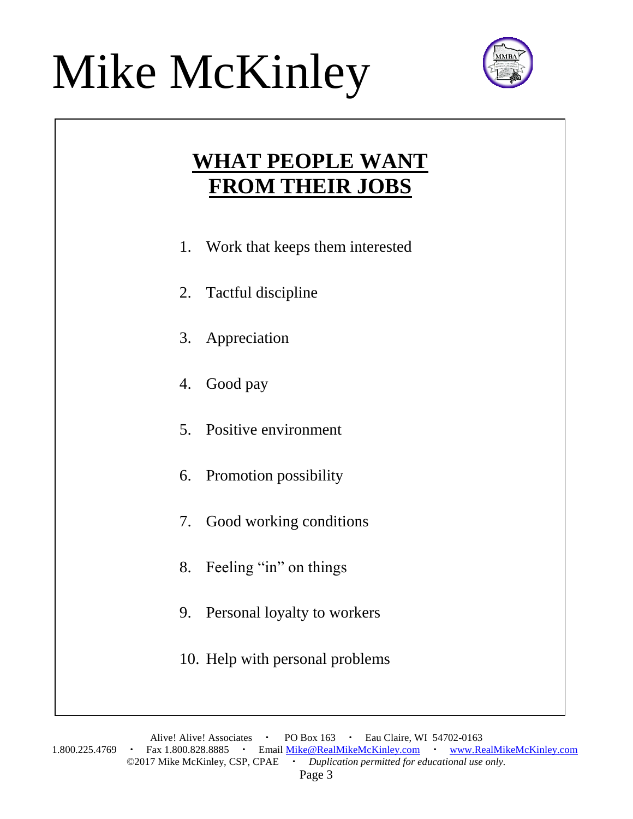### Mike McKinley Mike McKinley



### **WHAT PEOPLE WANT FROM THEIR JOBS**

- 1. Work that keeps them interested
- 2. Tactful discipline
- 3. Appreciation
- 4. Good pay
- 5. Positive environment
- 6. Promotion possibility
- 7. Good working conditions
- 8. Feeling "in" on things
- 9. Personal loyalty to workers
- 10. Help with personal problems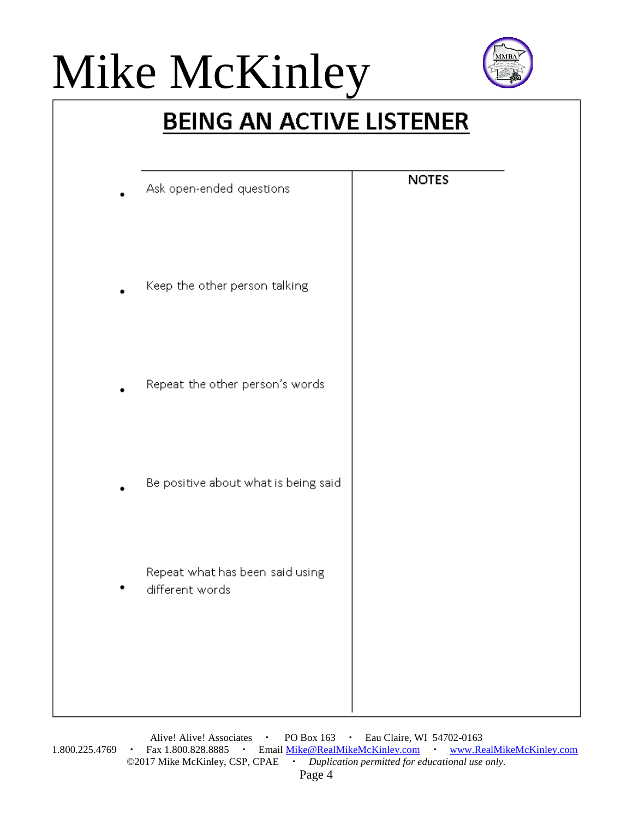# Mike McKinley



### **BEING AN ACTIVE LISTENER**

| Ask open-ended questions                           | <b>NOTES</b> |
|----------------------------------------------------|--------------|
| Keep the other person talking                      |              |
| Repeat the other person's words                    |              |
| Be positive about what is being said               |              |
| Repeat what has been said using<br>different words |              |
|                                                    |              |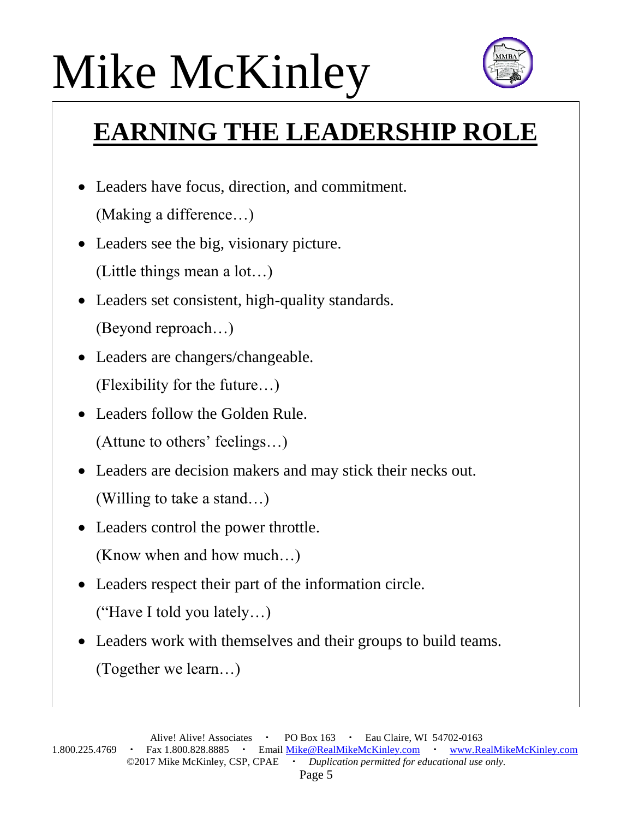# Mike McKinley Mike McKinley



### **EARNING THE LEADERSHIP ROLE**

- Leaders have focus, direction, and commitment. (Making a difference…)
- Leaders see the big, visionary picture. (Little things mean a lot…)
- Leaders set consistent, high-quality standards. (Beyond reproach…)
- Leaders are changers/changeable. (Flexibility for the future…)
- Leaders follow the Golden Rule. (Attune to others' feelings…)
- Leaders are decision makers and may stick their necks out. (Willing to take a stand…)
- Leaders control the power throttle. (Know when and how much…)
- Leaders respect their part of the information circle. ("Have I told you lately…)
- Leaders work with themselves and their groups to build teams. (Together we learn…)